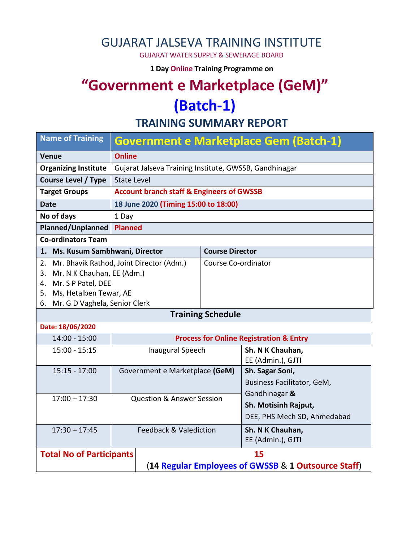## GUJARAT JALSEVA TRAINING INSTITUTE

GUJARAT WATER SUPPLY & SEWERAGE BOARD

**1 Day Online Training Programme on** 

# **"Government e Marketplace (GeM)" (Batch-1)**

**TRAINING SUMMARY REPORT**

| <b>Name of Training</b>                                                                                                 |                                                        |                          | Government e Marketplace Gem (Batch-1)                               |
|-------------------------------------------------------------------------------------------------------------------------|--------------------------------------------------------|--------------------------|----------------------------------------------------------------------|
| <b>Venue</b>                                                                                                            | <b>Online</b>                                          |                          |                                                                      |
| <b>Organizing Institute</b>                                                                                             | Gujarat Jalseva Training Institute, GWSSB, Gandhinagar |                          |                                                                      |
| <b>Course Level / Type</b>                                                                                              | <b>State Level</b>                                     |                          |                                                                      |
| <b>Target Groups</b>                                                                                                    | <b>Account branch staff &amp; Engineers of GWSSB</b>   |                          |                                                                      |
| <b>Date</b>                                                                                                             | 18 June 2020 (Timing 15:00 to 18:00)                   |                          |                                                                      |
| No of days                                                                                                              | 1 Day                                                  |                          |                                                                      |
| <b>Planned/Unplanned</b>                                                                                                | <b>Planned</b>                                         |                          |                                                                      |
| <b>Co-ordinators Team</b>                                                                                               |                                                        |                          |                                                                      |
| 1. Ms. Kusum Sambhwani, Director                                                                                        |                                                        | <b>Course Director</b>   |                                                                      |
| 3. Mr. N K Chauhan, EE (Adm.)<br>4. Mr. S P Patel, DEE<br>5. Ms. Hetalben Tewar, AE<br>6. Mr. G D Vaghela, Senior Clerk | 2. Mr. Bhavik Rathod, Joint Director (Adm.)            | Course Co-ordinator      |                                                                      |
|                                                                                                                         |                                                        | <b>Training Schedule</b> |                                                                      |
| Date: 18/06/2020                                                                                                        |                                                        |                          |                                                                      |
| $14:00 - 15:00$                                                                                                         |                                                        |                          | <b>Process for Online Registration &amp; Entry</b>                   |
| $15:00 - 15:15$                                                                                                         | <b>Inaugural Speech</b>                                |                          | Sh. N K Chauhan,<br>EE (Admin.), GJTI                                |
| $15:15 - 17:00$                                                                                                         | Government e Marketplace (GeM)                         |                          | Sh. Sagar Soni,<br>Business Facilitator, GeM,                        |
| $17:00 - 17:30$                                                                                                         | <b>Question &amp; Answer Session</b>                   |                          | Gandhinagar &<br>Sh. Motisinh Rajput,<br>DEE, PHS Mech SD, Ahmedabad |
| $17:30 - 17:45$                                                                                                         | Feedback & Valediction                                 |                          | Sh. N K Chauhan,<br>EE (Admin.), GJTI                                |
| <b>Total No of Participants</b>                                                                                         |                                                        |                          | 15<br>(14 Regular Employees of GWSSB & 1 Outsource Staff)            |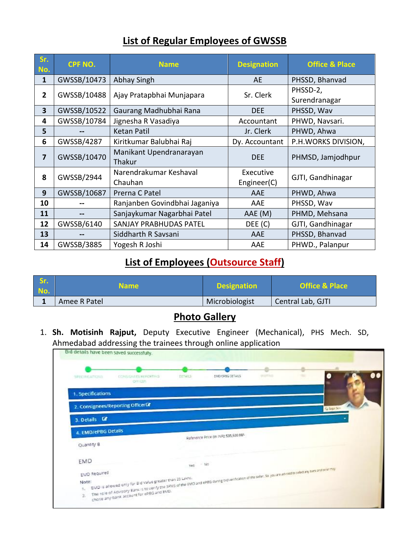### **List of Regular Employees of GWSSB**

| Sr.<br>No.     | CPF NO.     | <b>Name</b>                       | <b>Designation</b>       | <b>Office &amp; Place</b> |
|----------------|-------------|-----------------------------------|--------------------------|---------------------------|
| $\mathbf{1}$   | GWSSB/10473 | Abhay Singh                       | <b>AE</b>                | PHSSD, Bhanvad            |
| $\overline{2}$ | GWSSB/10488 | Ajay Pratapbhai Munjapara         | Sr. Clerk                | PHSSD-2,<br>Surendranagar |
| 3              | GWSSB/10522 | Gaurang Madhubhai Rana            | <b>DEE</b>               | PHSSD, Wav                |
| 4              | GWSSB/10784 | Jignesha R Vasadiya               | Accountant               | PHWD, Navsari.            |
| 5              |             | <b>Ketan Patil</b>                | Jr. Clerk                | PHWD, Ahwa                |
| 6              | GWSSB/4287  | Kiritkumar Balubhai Raj           | Dy. Accountant           | P.H.WORKS DIVISION,       |
| 7              | GWSSB/10470 | Manikant Upendranarayan<br>Thakur | <b>DEE</b>               | PHMSD, Jamjodhpur         |
| 8              | GWSSB/2944  | Narendrakumar Keshaval<br>Chauhan | Executive<br>Engineer(C) | GJTI, Gandhinagar         |
| 9              | GWSSB/10687 | Prerna C Patel                    | AAE                      | PHWD, Ahwa                |
| 10             |             | Ranjanben Govindbhai Jaganiya     | AAE                      | PHSSD, Wav                |
| 11             |             | Sanjaykumar Nagarbhai Patel       | AAE (M)                  | PHMD, Mehsana             |
| 12             | GWSSB/6140  | <b>SANJAY PRABHUDAS PATEL</b>     | DEE(C)                   | GJTI, Gandhinagar         |
| 13             |             | Siddharth R Savsani               | AAE                      | PHSSD, Bhanvad            |
| 14             | GWSSB/3885  | Yogesh R Joshi                    | AAE                      | PHWD., Palanpur           |

## **List of Employees (Outsource Staff)**

| Sr.<br>No. | Name.        | <b>Designation</b> | <b>Office &amp; Place</b> |
|------------|--------------|--------------------|---------------------------|
|            | Amee R Patel | Microbiologist     | Central Lab, GJTI         |

#### **Photo Gallery**

1. **Sh. Motisinh Rajput,** Deputy Executive Engineer (Mechanical), PHS Mech. SD, Ahmedabad addressing the trainees through online application

| 17(DRAFOL)            | <b>CONSIGNATIVE FOR THIS</b><br>ORIGES | DETAILS | END-SPBG DETAILS                                                                                                                                             | political |         |
|-----------------------|----------------------------------------|---------|--------------------------------------------------------------------------------------------------------------------------------------------------------------|-----------|---------|
| 1. Specifications     |                                        |         |                                                                                                                                                              |           |         |
|                       | 2. Consignees/Reporting Officerta      |         |                                                                                                                                                              |           | Gigas A |
| 3. Details <b>3</b>   |                                        |         |                                                                                                                                                              |           |         |
| 4. EMD/ePBG Details   |                                        |         | Reference Price (in NR): 535,500.00/-                                                                                                                        |           |         |
| Quantity 8            |                                        |         |                                                                                                                                                              |           |         |
| EMD                   |                                        | Yes.    | $-140$                                                                                                                                                       |           |         |
|                       |                                        |         | The role of Aguisory Bank is to venfly the SFMS of the EMD and ePBG during bid verification of the selec, So you are atwied to safet any tark and the energy |           |         |
| EMD Required<br>Note: |                                        |         |                                                                                                                                                              |           |         |